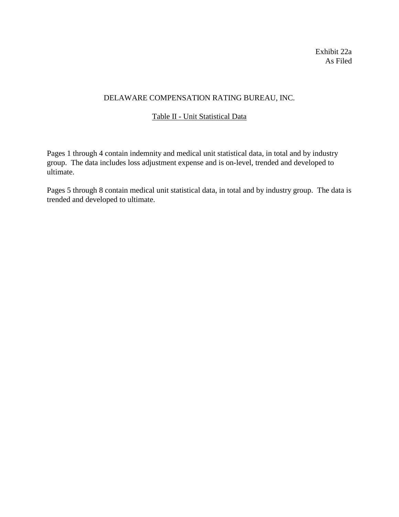Exhibit 22a As Filed

# DELAWARE COMPENSATION RATING BUREAU, INC.

# Table II - Unit Statistical Data

Pages 1 through 4 contain indemnity and medical unit statistical data, in total and by industry group. The data includes loss adjustment expense and is on-level, trended and developed to ultimate.

Pages 5 through 8 contain medical unit statistical data, in total and by industry group. The data is trended and developed to ultimate.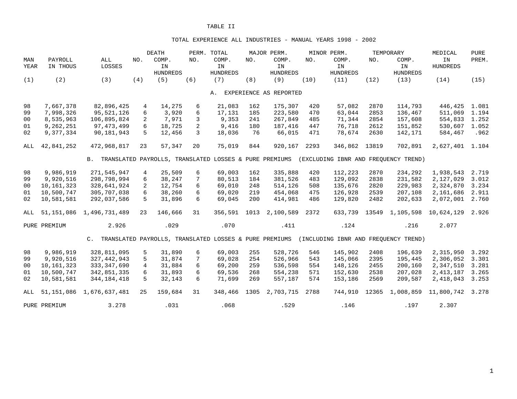#### TOTAL EXPERIENCE ALL INDUSTRIES - MANUAL YEARS 1998 - 2002

|                |                        |                                                           |                | <b>DEATH</b>     |              | PERM. TOTAL                                            |      | MAJOR PERM.               |      | MINOR PERM.        |              | TEMPORARY                            | MEDICAL                | <b>PURE</b>    |
|----------------|------------------------|-----------------------------------------------------------|----------------|------------------|--------------|--------------------------------------------------------|------|---------------------------|------|--------------------|--------------|--------------------------------------|------------------------|----------------|
| MAN            | PAYROLL                | ALL                                                       | NO.            | COMP.            | NO.          | COMP.                                                  | NO.  | COMP.                     | NO.  | COMP.              | NO.          | COMP.                                | IN                     | PREM.          |
| YEAR           | IN THOUS               | LOSSES                                                    |                | IN               |              | IN                                                     |      | IN                        |      | IN                 |              | IN                                   | <b>HUNDREDS</b>        |                |
|                |                        |                                                           |                | <b>HUNDREDS</b>  |              | <b>HUNDREDS</b>                                        |      | <b>HUNDREDS</b>           |      | <b>HUNDREDS</b>    |              | <b>HUNDREDS</b>                      |                        |                |
| (1)            | (2)                    | (3)                                                       | (4)            | (5)              | (6)          | (7)                                                    | (8)  | (9)                       | (10) | (11)               | (12)         | (13)                                 | (14)                   | (15)           |
|                |                        |                                                           |                |                  |              |                                                        |      |                           |      |                    |              |                                      |                        |                |
|                |                        |                                                           |                |                  |              |                                                        |      | A. EXPERIENCE AS REPORTED |      |                    |              |                                      |                        |                |
| 98             | 7,667,378              | 82,896,425                                                | $\overline{4}$ | 14,275           | 6            | 21,083                                                 | 162  | 175,307                   | 420  | 57,082             | 2870         | 114,793                              | 446,425                | 1.081          |
| 99             | 7,998,326              | 95,521,126                                                | 6              | 3,920            | 6            | 17,131                                                 | 185  | 223,580                   | 470  | 63,044             | 2853         | 136,467                              | 511,069                | 1.194          |
| 0 <sub>0</sub> | 8,535,963              | 106,895,824                                               | 2              | 7,971            | 3            | 9,353                                                  | 241  | 267,849                   | 485  | 71,344             | 2854         | 157,608                              | 554,833                | 1.252          |
| 01             | 9,262,251              | 97, 473, 499                                              | 6              | 18,725           | 2            | 9,416                                                  | 180  | 187,416                   | 447  | 76,718             | 2612         | 151,852                              | 530,607                | 1.052          |
| 02             | 9,377,334              | 90,181,943                                                | 5              | 12,456           | $\mathbf{3}$ | 18,036                                                 | 76   | 66,015                    | 471  | 78,674             | 2630         | 142,171                              | 584,467                | .962           |
| ALL            | 42,841,252             | 472,968,817                                               | 23             | 57,347           | 20           | 75,019                                                 | 844  | 920,167                   | 2293 | 346,862            | 13819        | 702,891                              | 2,627,401 1.104        |                |
|                |                        | B. TRANSLATED PAYROLLS, TRANSLATED LOSSES & PURE PREMIUMS |                |                  |              |                                                        |      |                           |      |                    |              | (EXCLUDING IBNR AND FREOUENCY TREND) |                        |                |
| 98             |                        |                                                           |                |                  |              |                                                        | 162  |                           | 420  |                    |              |                                      |                        |                |
| 99             | 9,986,919<br>9,920,516 | 271,545,947<br>298,798,994                                | 4<br>6         | 25,509<br>38,247 | 6<br>7       | 69,003<br>80,513                                       | 184  | 335,888<br>381,526        | 483  | 112,223<br>129,092 | 2870<br>2838 | 234,292<br>231,582                   | 1,938,543<br>2,127,029 | 2.719<br>3.012 |
|                | 10, 161, 323           | 328,641,924                                               | $\overline{a}$ | 12,754           | 6            |                                                        | 248  | 514,126                   | 508  | 135,676            | 2820         | 229,983                              |                        | 3.234          |
| 00<br>01       | 10,500,747             | 305,707,038                                               | 6              | 38,260           | 6            | 69,010<br>69,020                                       | 219  | 454,068                   | 475  | 126,928            | 2539         | 207,108                              | 2,324,870<br>2,161,686 | 2.911          |
| 02             | 10,581,581             | 292,037,586                                               | 5              | 31,896           | 6            | 69,045                                                 | 200  | 414,981                   | 486  | 129,820            | 2482         | 202,633                              | 2,072,001              | 2.760          |
|                |                        |                                                           |                |                  |              |                                                        |      |                           |      |                    |              |                                      |                        |                |
| ALL            | 51,151,086             | 1,496,731,489                                             | 23             | 146,666          | 31           | 356,591                                                | 1013 | 2,100,589                 | 2372 | 633,739            | 13549        | 1,105,598                            | 10,624,129             | 2.926          |
|                | PURE PREMIUM           | 2.926                                                     |                | .029             |              | .070                                                   |      | .411                      |      | .124               |              | .216                                 | 2.077                  |                |
|                |                        | $C_{\lambda}$                                             |                |                  |              | TRANSLATED PAYROLLS, TRANSLATED LOSSES & PURE PREMIUMS |      |                           |      |                    |              | (INCLUDING IBNR AND FREQUENCY TREND) |                        |                |
| 98             | 9,986,919              | 328,811,095                                               | 5              | 31,890           | 6            | 69,003                                                 | 255  | 528,726                   | 546  | 145,902            | 2408         | 196,639                              | 2,315,950              | 3.292          |
| 99             | 9,920,516              | 327, 442, 943                                             | 5              | 31,874           | 7            | 69,028                                                 | 254  | 526,966                   | 543  | 145,066            | 2395         | 195,445                              | 2,306,052              | 3.301          |
| 00             | 10,161,323             | 333, 347, 690                                             | $\overline{4}$ | 31,884           | 6            | 69,200                                                 | 259  | 536,598                   | 554  | 148,126            | 2455         | 200,160                              | 2,347,510              | 3.281          |
| 01             | 10,500,747             | 342,851,335                                               | 6              | 31,893           | 6            | 69,536                                                 | 268  | 554,238                   | 571  | 152,630            | 2538         | 207,028                              | 2, 413, 187            | 3.265          |
| 02             | 10,581,581             | 344, 184, 418                                             | 5              | 32,143           | 6            | 71,699                                                 | 269  | 557,187                   | 574  | 153,186            | 2569         | 209,587                              | 2,418,043              | 3.253          |
|                |                        |                                                           |                |                  |              |                                                        |      |                           |      |                    |              |                                      |                        |                |
| ALL            | 51,151,086             | 1,676,637,481                                             | 25             | 159,684          | 31           | 348,466                                                | 1305 | 2,703,715                 | 2788 | 744,910            | 12365        |                                      | 1,008,859 11,800,742   | 3.278          |
|                | PURE PREMIUM           | 3.278                                                     |                | .031             |              | .068                                                   |      | .529                      |      | .146               |              | .197                                 | 2.307                  |                |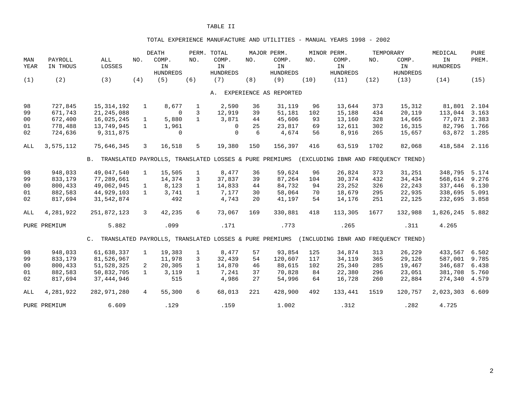#### TOTAL EXPERIENCE MANUFACTURE AND UTILITIES - MANUAL YEARS 1998 - 2002

|      |              |                                                           |                | <b>DEATH</b>                                           |              | PERM. TOTAL     |     | MAJOR PERM.            |      | MINOR PERM.                          |      | TEMPORARY       | MEDICAL         | <b>PURE</b> |
|------|--------------|-----------------------------------------------------------|----------------|--------------------------------------------------------|--------------|-----------------|-----|------------------------|------|--------------------------------------|------|-----------------|-----------------|-------------|
| MAN  | PAYROLL      | ALL                                                       | NO.            | COMP.                                                  | NO.          | COMP.           | NO. | COMP.                  | NO.  | COMP.                                | NO.  | COMP.           | IN              | PREM.       |
| YEAR | IN THOUS     | LOSSES                                                    |                | IN                                                     |              | IN              |     | IN                     |      | IN                                   |      | IN              | <b>HUNDREDS</b> |             |
|      |              |                                                           |                | <b>HUNDREDS</b>                                        |              | <b>HUNDREDS</b> |     | <b>HUNDREDS</b>        |      | <b>HUNDREDS</b>                      |      | <b>HUNDREDS</b> |                 |             |
| (1)  | (2)          | (3)                                                       | (4)            | (5)                                                    | (6)          | (7)             | (8) | (9)                    | (10) | (11)                                 | (12) | (13)            | (14)            | (15)        |
|      |              |                                                           |                |                                                        |              | Α.              |     | EXPERIENCE AS REPORTED |      |                                      |      |                 |                 |             |
|      |              |                                                           |                |                                                        |              |                 |     |                        |      |                                      |      |                 |                 |             |
| 98   | 727,845      | 15, 314, 192                                              | $\mathbf{1}$   | 8,677                                                  | $\mathbf{1}$ | 2,590           | 36  | 31,119                 | 96   | 13,644                               | 373  | 15,312          | 81,801          | 2.104       |
| 99   | 671,743      | 21, 245, 088                                              |                | $\Omega$                                               | 3            | 12,919          | 39  | 51,181                 | 102  | 15,188                               | 434  | 20,119          | 113,044         | 3.163       |
| 00   | 672,400      | 16,025,245                                                | $\mathbf{1}$   | 5,880                                                  | $\mathbf{1}$ | 3,871           | 44  | 45,606                 | 93   | 13,160                               | 328  | 14,665          | 77,071          | 2.383       |
| 01   | 778,488      | 13,749,945                                                | $\mathbf{1}$   | 1,961                                                  |              | $\Omega$        | 25  | 23,817                 | 69   | 12,611                               | 302  | 16,315          | 82,796          | 1.766       |
| 02   | 724,636      | 9, 311, 875                                               |                | $\mathbf 0$                                            |              | $\mathbf 0$     | 6   | 4,674                  | 56   | 8,916                                | 265  | 15,657          | 63,872 1.285    |             |
| ALL  | 3,575,112    | 75,646,345                                                | 3              | 16,518                                                 | 5            | 19,380          | 150 | 156,397                | 416  | 63,519                               | 1702 | 82,068          | 418,584         | 2.116       |
|      |              | B. TRANSLATED PAYROLLS, TRANSLATED LOSSES & PURE PREMIUMS |                |                                                        |              |                 |     |                        |      | (EXCLUDING IBNR AND FREOUENCY TREND) |      |                 |                 |             |
|      |              |                                                           |                |                                                        |              |                 |     |                        |      |                                      |      |                 |                 |             |
| 98   | 948,033      | 49,047,540                                                | $\mathbf{1}$   | 15,505                                                 | $\mathbf{1}$ | 8,477           | 36  | 59,624                 | 96   | 26,824                               | 373  | 31,251          | 348,795         | 5.174       |
| 99   | 833,179      | 77,289,661                                                |                | 14,374                                                 | 3            | 37,837          | 39  | 87,264                 | 104  | 30,374                               | 432  | 34,434          | 568,614         | 9.276       |
| 00   | 800,433      | 49,062,945                                                | $\mathbf{1}$   | 8,123                                                  | $\mathbf{1}$ | 14,833          | 44  | 84,732                 | 94   | 23,252                               | 326  | 22,243          | 337,446         | 6.130       |
| 01   | 882,583      | 44,929,103                                                | $\mathbf{1}$   | 3,741                                                  | $\mathbf{1}$ | 7,177           | 30  | 58,064                 | 70   | 18,679                               | 295  | 22,935          | 338,695         | 5.091       |
| 02   | 817,694      | 31,542,874                                                |                | 492                                                    |              | 4,743           | 20  | 41,197                 | 54   | 14,176                               | 251  | 22,125          | 232,695         | 3.858       |
| ALL  | 4,281,922    | 251,872,123                                               | $\mathbf{3}$   | 42,235                                                 | 6            | 73,067          | 169 | 330,881                | 418  | 113,305                              | 1677 | 132,988         | 1,826,245       | 5.882       |
|      | PURE PREMIUM | 5.882                                                     |                | .099                                                   |              | .171            |     | .773                   |      | .265                                 |      | .311            | 4.265           |             |
|      |              | $C_{\rm{L}}$                                              |                | TRANSLATED PAYROLLS, TRANSLATED LOSSES & PURE PREMIUMS |              |                 |     |                        |      | (INCLUDING IBNR AND FREOUENCY TREND) |      |                 |                 |             |
| 98   | 948,033      | 61,638,337                                                | $\mathbf{1}$   | 19,383                                                 | $\mathbf{1}$ | 8,477           | 57  | 93,854                 | 125  | 34,874                               | 313  | 26,229          | 433,567         | 6.502       |
| 99   | 833,179      | 81,526,967                                                |                | 11,978                                                 | 3            | 32,439          | 54  | 120,607                | 117  | 34,119                               | 365  | 29,126          | 587,001         | 9.785       |
| 00   | 800,433      | 51,528,325                                                | 2              | 20,305                                                 | $\mathbf{1}$ | 14,870          | 46  | 88,615                 | 102  | 25,340                               | 285  | 19,467          | 346,687         | 6.438       |
| 01   | 882,583      | 50,832,705                                                | $\mathbf{1}$   | 3,119                                                  | $\mathbf{1}$ | 7,241           | 37  | 70,828                 | 84   | 22,380                               | 296  | 23,051          | 381,708         | 5.760       |
| 02   | 817,694      | 37, 444, 946                                              |                | 515                                                    |              | 4,986           | 27  | 54,996                 | 64   | 16,728                               | 260  | 22,884          | 274,340         | 4.579       |
| ALL  | 4,281,922    | 282,971,280                                               | $\overline{4}$ | 55,300                                                 | 6            | 68,013          | 221 | 428,900                | 492  | 133,441                              | 1519 | 120,757         | 2,023,303       | 6.609       |
|      | PURE PREMIUM | 6.609                                                     |                | .129                                                   |              | .159            |     | 1.002                  |      | .312                                 |      | .282            | 4.725           |             |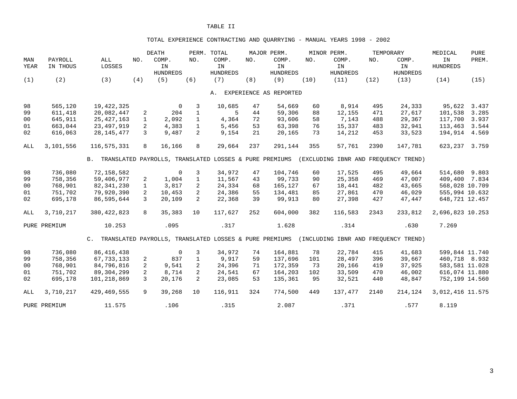## TOTAL EXPERIENCE CONTRACTING AND QUARRYING - MANUAL YEARS 1998 - 2002

|                |              |               |               | <b>DEATH</b>                                           |                | PERM. TOTAL     |     | MAJOR PERM.            |      | MINOR PERM.                          |      | TEMPORARY       | MEDICAL          | <b>PURE</b> |
|----------------|--------------|---------------|---------------|--------------------------------------------------------|----------------|-----------------|-----|------------------------|------|--------------------------------------|------|-----------------|------------------|-------------|
| MAN            | PAYROLL      | ALL           | NO.           | COMP.                                                  | NO.            | COMP.           | NO. | COMP.                  | NO.  | COMP.                                | NO.  | COMP.           | IN               | PREM.       |
| YEAR           | IN THOUS     | LOSSES        |               | IN                                                     |                | IN              |     | IN                     |      | IN                                   |      | IN              | <b>HUNDREDS</b>  |             |
|                |              |               |               | <b>HUNDREDS</b>                                        |                | <b>HUNDREDS</b> |     | <b>HUNDREDS</b>        |      | <b>HUNDREDS</b>                      |      | <b>HUNDREDS</b> |                  |             |
| (1)            | (2)          | (3)           | (4)           | (5)                                                    | (6)            | (7)             | (8) | (9)                    | (10) | (11)                                 | (12) | (13)            | (14)             | (15)        |
|                |              |               |               |                                                        |                |                 |     |                        |      |                                      |      |                 |                  |             |
|                |              |               |               |                                                        |                | A.              |     | EXPERIENCE AS REPORTED |      |                                      |      |                 |                  |             |
| 98             | 565,120      | 19, 422, 325  |               | $\overline{0}$                                         | 3              | 10,685          | 47  | 54,669                 | 60   | 8,914                                | 495  | 24,333          | 95,622           | 3.437       |
| 99             | 611,418      | 20,082,447    | 2             | 204                                                    | $\mathbf{1}$   | 5               | 44  | 59,306                 | 88   | 12,155                               | 471  | 27,617          | 101,538          | 3.285       |
| 00             | 645,911      | 25, 427, 163  | $\mathbf{1}$  | 2,092                                                  | $\mathbf{1}$   | 4,364           | 72  | 93,606                 | 58   | 7,143                                | 488  | 29,367          | 117,700          | 3.937       |
| 01             | 663,044      | 23,497,919    | 2             | 4,383                                                  | $\mathbf{1}$   | 5,456           | 53  | 63,398                 | 76   | 15,337                               | 483  | 32,941          | 113,463          | 3.544       |
| 02             | 616,063      | 28, 145, 477  | $\mathcal{L}$ | 9,487                                                  | 2              | 9,154           | 21  | 20,165                 | 73   | 14,212                               | 453  | 33,523          | 194,914          | 4.569       |
| ALL            | 3,101,556    | 116,575,331   | 8             | 16,166                                                 | 8              | 29,664          | 237 | 291,144                | 355  | 57,761                               | 2390 | 147,781         | 623,237          | 3.759       |
|                |              | <b>B.</b>     |               | TRANSLATED PAYROLLS, TRANSLATED LOSSES & PURE PREMIUMS |                |                 |     |                        |      | (EXCLUDING IBNR AND FREOUENCY TREND) |      |                 |                  |             |
| 98             | 736,080      | 72,158,582    |               | $\mathbf 0$                                            | 3              | 34,972          | 47  | 104,746                | 60   | 17,525                               | 495  | 49,664          | 514,680          | 9.803       |
| 99             | 758,356      | 59,406,977    | 2             | 1,004                                                  | $\mathbf{1}$   | 11,567          | 43  | 99,733                 | 90   | 25,358                               | 469  | 47,007          | 409,400          | 7.834       |
| 0 <sub>0</sub> | 768,901      | 82, 341, 230  | $\mathbf{1}$  | 3,817                                                  | 2              | 24,334          | 68  | 165,127                | 67   | 18,441                               | 482  | 43,665          | 568,028 10.709   |             |
| 01             | 751,702      | 79,920,390    | 2             | 10,453                                                 | $\overline{2}$ | 24,386          | 55  | 134,481                | 85   | 27,861                               | 470  | 46,029          | 555,994 10.632   |             |
| 02             | 695,178      | 86,595,644    | 3             | 20,109                                                 | 2              | 22,368          | 39  | 99,913                 | 80   | 27,398                               | 427  | 47,447          | 648,721 12.457   |             |
| ALL            | 3,710,217    | 380, 422, 823 | 8             | 35,383                                                 | 10             | 117,627         | 252 | 604,000                | 382  | 116,583                              | 2343 | 233,812         | 2,696,823 10.253 |             |
|                | PURE PREMIUM | 10.253        |               | .095                                                   |                | .317            |     | 1.628                  |      | .314                                 |      | .630            | 7.269            |             |
|                |              | $C_{\rm A}$   |               | TRANSLATED PAYROLLS, TRANSLATED LOSSES & PURE PREMIUMS |                |                 |     |                        |      | (INCLUDING IBNR AND FREOUENCY TREND) |      |                 |                  |             |
| 98             | 736,080      | 86, 416, 438  |               | $\mathbf 0$                                            | $\overline{3}$ | 34,972          | 74  | 164,881                | 78   | 22,784                               | 415  | 41,683          | 599,844 11.740   |             |
| 99             | 758,356      | 67, 733, 133  | 2             | 837                                                    | $\mathbf{1}$   | 9,917           | 59  | 137,696                | 101  | 28,497                               | 396  | 39,667          | 460,718 8.932    |             |
| 0 <sub>0</sub> | 768,901      | 84,796,816    | 2             | 9,541                                                  | $\overline{2}$ | 24,396          | 71  | 172,359                | 73   | 20,166                               | 419  | 37,925          | 583,581 11.028   |             |
| 01             | 751,702      | 89, 304, 299  | 2             | 8,714                                                  | $\overline{2}$ | 24,541          | 67  | 164,203                | 102  | 33,509                               | 470  | 46,002          | 616,074 11.880   |             |
| 02             | 695,178      | 101,218,869   | $\mathcal{L}$ | 20,176                                                 | 2              | 23,085          | 53  | 135,361                | 95   | 32,521                               | 440  | 48,847          | 752,199 14.560   |             |
| ALL            | 3,710,217    | 429, 469, 555 | 9             | 39,268                                                 | 10             | 116,911         | 324 | 774,500                | 449  | 137,477                              | 2140 | 214,124         | 3,012,416 11.575 |             |
|                | PURE PREMIUM | 11.575        |               | .106                                                   |                | .315            |     | 2.087                  |      | .371                                 |      | .577            | 8.119            |             |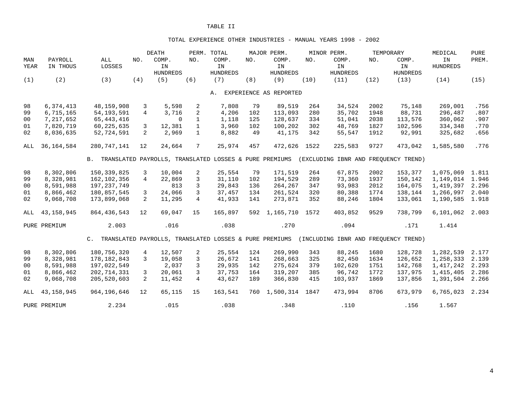#### TOTAL EXPERIENCE OTHER INDUSTRIES - MANUAL YEARS 1998 - 2002

|                |              |                                                           |                | <b>DEATH</b>    |                | PERM. TOTAL     |     | MAJOR PERM.            |      | MINOR PERM.                          |      | TEMPORARY       | MEDICAL         | <b>PURE</b> |
|----------------|--------------|-----------------------------------------------------------|----------------|-----------------|----------------|-----------------|-----|------------------------|------|--------------------------------------|------|-----------------|-----------------|-------------|
| MAN            | PAYROLL      | ALL                                                       | NO.            | COMP.           | NO.            | COMP.           | NO. | COMP.                  | NO.  | COMP.                                | NO.  | COMP.           | IN              | PREM.       |
| YEAR           | IN THOUS     | LOSSES                                                    |                | IN              |                | IN              |     | IN                     |      | IN                                   |      | IN              | <b>HUNDREDS</b> |             |
|                |              |                                                           |                | <b>HUNDREDS</b> |                | <b>HUNDREDS</b> |     | <b>HUNDREDS</b>        |      | <b>HUNDREDS</b>                      |      | <b>HUNDREDS</b> |                 |             |
| (1)            | (2)          | (3)                                                       | (4)            | (5)             | (6)            | (7)             | (8) | (9)                    | (10) | (11)                                 | (12) | (13)            | (14)            | (15)        |
|                |              |                                                           |                |                 |                |                 |     |                        |      |                                      |      |                 |                 |             |
|                |              |                                                           |                |                 |                | Α.              |     | EXPERIENCE AS REPORTED |      |                                      |      |                 |                 |             |
| 98             | 6,374,413    | 48,159,908                                                | 3              | 5,598           | 2              | 7,808           | 79  | 89,519                 | 264  | 34,524                               | 2002 | 75,148          | 269,001         | .756        |
| 99             | 6,715,165    | 54, 193, 591                                              | $\overline{4}$ | 3,716           | 2              | 4,206           | 102 | 113,093                | 280  | 35,702                               | 1948 | 88,731          | 296,487         | .807        |
| 0 <sub>0</sub> | 7,217,652    | 65, 443, 416                                              |                | $\Omega$        | $\mathbf{1}$   | 1,118           | 125 | 128,637                | 334  | 51,041                               | 2038 | 113,576         | 360,062         | .907        |
| 01             | 7,820,719    | 60,225,635                                                | 3              | 12,381          | $\mathbf{1}$   | 3,960           | 102 | 100,202                | 302  | 48,769                               | 1827 | 102,596         | 334,348         | .770        |
| 02             | 8,036,635    | 52,724,591                                                | $\overline{2}$ | 2,969           | $\mathbf{1}$   | 8,882           | 49  | 41,175                 | 342  | 55,547                               | 1912 | 92,991          | 325,682         | .656        |
| ALL            | 36, 164, 584 | 280, 747, 141                                             | 12             | 24,664          | 7              | 25,974          | 457 | 472,626                | 1522 | 225,583                              | 9727 | 473,042         | 1,585,580       | .776        |
|                |              | B. TRANSLATED PAYROLLS, TRANSLATED LOSSES & PURE PREMIUMS |                |                 |                |                 |     |                        |      | (EXCLUDING IBNR AND FREOUENCY TREND) |      |                 |                 |             |
|                |              |                                                           |                |                 |                |                 |     |                        |      |                                      |      |                 |                 |             |
| 98             | 8,302,806    | 150, 339, 825                                             | 3              | 10,004          | 2              | 25,554          | 79  | 171,519                | 264  | 67,875                               | 2002 | 153,377         | 1,075,069       | 1.811       |
| 99             | 8,328,981    | 162,102,356                                               | $\overline{4}$ | 22,869          | 3              | 31,110          | 102 | 194,529                | 289  | 73,360                               | 1937 | 150,142         | 1,149,014       | 1.946       |
| 00             | 8,591,988    | 197, 237, 749                                             |                | 813             | 3              | 29,843          | 136 | 264,267                | 347  | 93,983                               | 2012 | 164,075         | 1,419,397       | 2.296       |
| 01             | 8,866,462    | 180,857,545                                               | 3              | 24,066          | 3              | 37,457          | 134 | 261,524                | 320  | 80,388                               | 1774 | 138,144         | 1,266,997       | 2.040       |
| 02             | 9,068,708    | 173,899,068                                               | 2              | 11,295          | $\overline{4}$ | 41,933          | 141 | 273,871                | 352  | 88,246                               | 1804 | 133,061         | 1,190,585       | 1.918       |
| ALL            | 43, 158, 945 | 864, 436, 543                                             | 12             | 69,047          | 15             | 165,897         | 592 | 1,165,710              | 1572 | 403,852                              | 9529 | 738,799         | 6,101,062       | 2.003       |
|                | PURE PREMIUM | 2.003                                                     |                | .016            |                | .038            |     | .270                   |      | .094                                 |      | .171            | 1.414           |             |
|                |              | C. TRANSLATED PAYROLLS, TRANSLATED LOSSES & PURE PREMIUMS |                |                 |                |                 |     |                        |      | (INCLUDING IBNR AND FREOUENCY TREND) |      |                 |                 |             |
| 98             | 8,302,806    | 180,756,320                                               | $\overline{4}$ | 12,507          | 2              | 25,554          | 124 | 269,990                | 343  | 88,245                               | 1680 | 128,728         | 1,282,539       | 2.177       |
| 99             | 8,328,981    | 178, 182, 843                                             | 3              | 19,058          | 3              | 26,672          | 141 | 268,663                | 325  | 82,450                               | 1634 | 126,652         | 1,258,333       | 2.139       |
| 00             | 8,591,988    | 197,022,549                                               |                | 2,037           | 3              | 29,935          | 142 | 275,624                | 379  | 102,620                              | 1751 | 142,768         | 1,417,242       | 2.293       |
| 01             | 8,866,462    | 202,714,331                                               | 3              | 20,061          | 3              | 37,753          | 164 | 319,207                | 385  | 96,742                               | 1772 | 137,975         | 1,415,405       | 2.286       |
| 02             | 9,068,708    | 205,520,603                                               | $\overline{2}$ | 11,452          | $\overline{4}$ | 43,627          | 189 | 366,830                | 415  | 103,937                              | 1869 | 137,856         | 1,391,504       | 2.266       |
|                |              |                                                           |                |                 |                |                 |     |                        |      |                                      |      |                 |                 |             |
| ALL            | 43, 158, 945 | 964,196,646                                               | 12             | 65,115          | 15             | 163,541         | 760 | 1,500,314              | 1847 | 473,994                              | 8706 | 673,979         | 6,765,023       | 2.234       |
|                | PURE PREMIUM | 2.234                                                     |                | .015            |                | .038            |     | .348                   |      | .110                                 |      | .156            | 1.567           |             |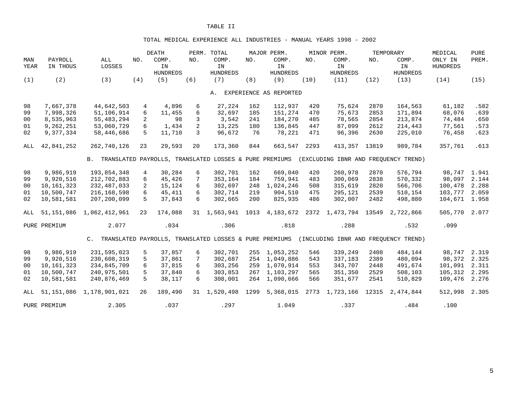#### TOTAL MEDICAL EXPERIENCE ALL INDUSTRIES - MANUAL YEARS 1998 - 2002

|                |              |                                                           |                 | <b>DEATH</b>                                           |     | PERM. TOTAL     |      | MAJOR PERM.            |      | MINOR PERM.          |       | TEMPORARY                            | MEDICAL         | <b>PURE</b> |
|----------------|--------------|-----------------------------------------------------------|-----------------|--------------------------------------------------------|-----|-----------------|------|------------------------|------|----------------------|-------|--------------------------------------|-----------------|-------------|
| MAN            | PAYROLL      | ALL                                                       | NO.             | COMP.                                                  | NO. | COMP.           | NO.  | COMP.                  | NO.  | COMP.                | NO.   | COMP.                                | ONLY IN         | PREM.       |
| YEAR           | IN THOUS     | LOSSES                                                    |                 | IN                                                     |     | IN              |      | IN                     |      | IN                   |       | IN                                   | <b>HUNDREDS</b> |             |
|                |              |                                                           |                 | <b>HUNDREDS</b>                                        |     | <b>HUNDREDS</b> |      | <b>HUNDREDS</b>        |      | <b>HUNDREDS</b>      |       | <b>HUNDREDS</b>                      |                 |             |
| (1)            | (2)          | (3)                                                       | (4)             | (5)                                                    | (6) | (7)             | (8)  | (9)                    | (10) | (11)                 | (12)  | (13)                                 | (14)            | (15)        |
|                |              |                                                           |                 |                                                        |     | Α.              |      | EXPERIENCE AS REPORTED |      |                      |       |                                      |                 |             |
| 98             | 7,667,378    | 44,642,503                                                |                 | 4,896                                                  | 6   | 27,224          | 162  | 112,937                | 420  | 75,624               | 2870  | 164,563                              | 61,182          | .582        |
| 99             | 7,998,326    | 51,106,914                                                | 4<br>6          | 11,455                                                 | 6   | 32,697          | 185  | 151,274                | 470  | 75,673               | 2853  | 171,894                              | 68,076          | .639        |
| 00             | 8,535,963    | 55, 483, 294                                              | $\overline{2}$  | 98                                                     | 3   | 3,542           | 241  | 184,270                | 485  | 78,565               | 2854  | 213,874                              | 74,484          | .650        |
| 01             | 9,262,251    | 53,060,729                                                | 6               | 1,434                                                  | 2   | 13,225          | 180  | 136,845                | 447  | 87,099               | 2612  | 214,443                              | 77,561          |             |
|                |              |                                                           |                 |                                                        |     |                 |      |                        |      |                      |       |                                      |                 | .573        |
| 02             | 9,377,334    | 58,446,686                                                | 5               | 11,710                                                 | 3   | 96,672          | 76   | 78,221                 | 471  | 96,396               | 2630  | 225,010                              | 76,458          | .623        |
| ALL            | 42,841,252   | 262,740,126                                               | 23              | 29,593                                                 | 20  | 173,360         | 844  | 663,547                | 2293 | 413,357              | 13819 | 989,784                              | 357,761         | .613        |
|                |              | B. TRANSLATED PAYROLLS, TRANSLATED LOSSES & PURE PREMIUMS |                 |                                                        |     |                 |      |                        |      |                      |       | (EXCLUDING IBNR AND FREOUENCY TREND) |                 |             |
| 98             | 9,986,919    | 193,854,348                                               | $4\overline{ }$ | 30,284                                                 | 6   | 302,701         | 162  | 669,040                | 420  | 260,978              | 2870  | 576,794                              | 98,747 1.941    |             |
| 99             | 9,920,516    | 212,702,883                                               | 6               | 45,426                                                 | 7   | 353,164         | 184  | 759,941                | 483  | 300,069              | 2838  | 570,332                              | 98,097          | 2.144       |
| 00             | 10,161,323   | 232,487,033                                               | 2               | 15,124                                                 | 6   | 302,697         | 248  | 1,024,246              | 508  | 315,619              | 2820  | 566,706                              | 100,478         | 2.288       |
| 01             | 10,500,747   | 216, 168, 598                                             | 6               | 45,411                                                 | 6   | 302,714         | 219  | 904,510                | 475  | 295,121              | 2539  | 510,154                              | 103,777         | 2.059       |
| 02             | 10,581,581   | 207,200,099                                               | 5               | 37,843                                                 | 6   | 302,665         | 200  | 825,935                | 486  | 302,007              | 2482  | 498,880                              | 104,671 1.958   |             |
|                |              |                                                           |                 |                                                        |     |                 |      |                        |      |                      |       |                                      |                 |             |
| ALL            | 51,151,086   | 1,062,412,961                                             | 23              | 174,088                                                |     | 31 1,563,941    | 1013 | 4,183,672              |      | 2372 1,473,794 13549 |       | 2,722,866                            | 505,770         | 2.077       |
|                | PURE PREMIUM | 2.077                                                     |                 | .034                                                   |     | .306            |      | .818                   |      | .288                 |       | .532                                 | .099            |             |
|                |              | $C_{\lambda}$                                             |                 | TRANSLATED PAYROLLS, TRANSLATED LOSSES & PURE PREMIUMS |     |                 |      |                        |      |                      |       | (INCLUDING IBNR AND FREOUENCY TREND) |                 |             |
| 98             | 9,986,919    | 231,595,023                                               | 5               | 37,857                                                 | 6   | 302,701         | 255  | 1,053,252              | 546  | 339,249              | 2408  | 484,144                              | 98,747          | 2.319       |
| 99             | 9,920,516    | 230,608,319                                               | 5               | 37,861                                                 | 7   | 302,687         | 254  | 1,049,886              | 543  | 337,183              | 2389  | 480,094                              | 98,372          | 2.325       |
| 0 <sup>0</sup> | 10, 161, 323 | 234,845,709                                               | 6               | 37,815                                                 | 6   | 303,256         | 259  | 1,070,914              | 553  | 343,707              | 2448  | 491,674                              | 101,091         | 2.311       |
| 01             | 10,500,747   | 240,975,501                                               | 5               | 37,840                                                 | 6   | 303,853         | 267  | 1,103,297              | 565  | 351,350              | 2529  | 508,103                              | 105,312         | 2.295       |
| 02             | 10,581,581   | 240,876,469                                               | 5               | 38,117                                                 | 6   | 308,001         |      | 264 1,090,666          | 566  | 351,677              | 2541  | 510,829                              | 109,476         | 2.276       |
| ALL            | 51,151,086   | 1,178,901,021                                             | 26              | 189,490                                                |     | 31 1,520,498    | 1299 | 5,368,015              |      | 2773 1,723,166       | 12315 | 2,474,844                            | 512,998         | 2.305       |
|                | PURE PREMIUM | 2.305                                                     |                 | .037                                                   |     | .297            |      | 1.049                  |      | .337                 |       | .484                                 | .100            |             |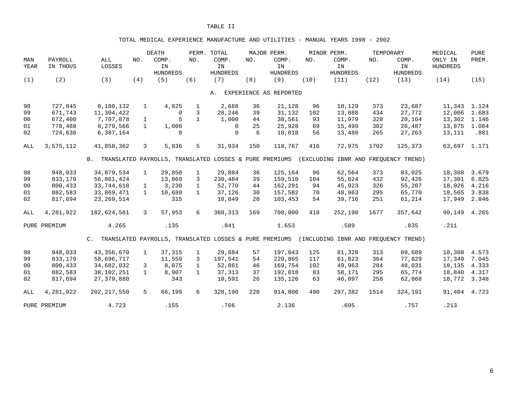#### TOTAL MEDICAL EXPERIENCE MANUFACTURE AND UTILITIES - MANUAL YEARS 1998 - 2002

|                |              |                                                           |              | <b>DEATH</b>                                           |              | PERM. TOTAL     |     | MAJOR PERM.            |      | MINOR PERM.                          |      | TEMPORARY       | MEDICAL         | <b>PURE</b> |
|----------------|--------------|-----------------------------------------------------------|--------------|--------------------------------------------------------|--------------|-----------------|-----|------------------------|------|--------------------------------------|------|-----------------|-----------------|-------------|
| MAN            | PAYROLL      | ALL                                                       | NO.          | COMP.                                                  | NO.          | COMP.           | NO. | COMP.                  | NO.  | COMP.                                | NO.  | COMP.           | ONLY IN         | PREM.       |
| YEAR           | IN THOUS     | LOSSES                                                    |              | IN                                                     |              | IN              |     | IN                     |      | IN                                   |      | IN              | <b>HUNDREDS</b> |             |
|                |              |                                                           |              | <b>HUNDREDS</b>                                        |              | <b>HUNDREDS</b> |     | <b>HUNDREDS</b>        |      | <b>HUNDREDS</b>                      |      | <b>HUNDREDS</b> |                 |             |
| (1)            | (2)          | (3)                                                       | (4)          | (5)                                                    | (6)          | (7)             | (8) | (9)                    | (10) | (11)                                 | (12) | (13)            | (14)            | (15)        |
|                |              |                                                           |              |                                                        |              | Α.              |     | EXPERIENCE AS REPORTED |      |                                      |      |                 |                 |             |
| 98             | 727,845      | 8,180,132                                                 | $\mathbf{1}$ | 4,825                                                  | $\mathbf{1}$ | 2,688           | 36  | 21,128                 | 96   | 18,129                               | 373  | 23,687          | 11,343          | 1.124       |
| 99             | 671,743      | 11,304,422                                                |              | $\Omega$                                               | 3            | 28,246          | 39  | 31,132                 | 102  | 13,888                               | 434  | 27,772          | 12,006          | 1.683       |
| 00             | 672,400      | 7,707,078                                                 | $\mathbf{1}$ | 5                                                      | $\mathbf{1}$ | 1,000           | 44  | 30,561                 | 93   | 11,979                               | 328  | 20,164          | 13,362          | 1.146       |
| 01             | 778,488      | 8,279,566                                                 | $\mathbf{1}$ | 1,006                                                  |              | $\Omega$        | 25  | 25,928                 | 69   | 15,499                               | 302  | 26,487          | 13,875          | 1.064       |
| 02             | 724,636      | 6,387,164                                                 |              | 0                                                      |              | $\Omega$        | 6   | 10,018                 | 56   | 13,480                               | 265  | 27,263          | 13,111          | .881        |
| ALL            | 3,575,112    | 41,858,362                                                | 3            | 5,836                                                  | 5            | 31,934          | 150 | 118,767                | 416  | 72,975                               | 1702 | 125,373         | 63,697 1.171    |             |
|                |              | B. TRANSLATED PAYROLLS, TRANSLATED LOSSES & PURE PREMIUMS |              |                                                        |              |                 |     |                        |      | (EXCLUDING IBNR AND FREQUENCY TREND) |      |                 |                 |             |
| 98             | 948,033      | 34,879,534                                                | $\mathbf{1}$ | 29,850                                                 | $\mathbf{1}$ | 29,884          | 36  | 125,164                | 96   | 62,564                               | 373  | 83,025          | 18,308          | 3.679       |
| 99             | 833,179      | 56,861,424                                                |              | 13,869                                                 | 3            | 230,484         | 39  | 159,510                | 104  | 55,024                               | 432  | 92,426          | 17,301          | 6.825       |
| 0 <sub>0</sub> | 800,433      | 33,744,618                                                | $\mathbf{1}$ | 3,230                                                  | $\mathbf{1}$ | 52,770          | 44  | 162,291                | 94   | 45,923                               | 326  | 55,207          | 18,026          | 4.216       |
| 01             | 882,583      | 33,869,471                                                | $\mathbf{1}$ | 10,689                                                 | $\mathbf{1}$ | 37,126          | 30  | 157,582                | 70   | 48,963                               | 295  | 65,770          | 18,565          | 3.838       |
| 02             | 817,694      | 23, 269, 514                                              |              | 315                                                    |              | 10,049          | 20  | 103,453                | 54   | 39,716                               | 251  | 61,214          | 17,949          | 2.846       |
| ALL            | 4,281,922    | 182,624,561                                               | 3            | 57,953                                                 | 6            | 360,313         | 169 | 708,000                | 418  | 252,190                              | 1677 | 357,642         | 90,149          | 4.265       |
|                | PURE PREMIUM | 4.265                                                     |              | .135                                                   |              | .841            |     | 1.653                  |      | .589                                 |      | .835            | .211            |             |
|                |              | $C_{\rm{L}}$                                              |              | TRANSLATED PAYROLLS, TRANSLATED LOSSES & PURE PREMIUMS |              |                 |     |                        |      | (INCLUDING IBNR AND FREOUENCY TREND) |      |                 |                 |             |
| 98             | 948,033      | 43, 356, 670                                              | $\mathbf{1}$ | 37,315                                                 | $\mathbf{1}$ | 29,884          | 57  | 197,043                | 125  | 81,328                               | 313  | 69,689          | 18,308          | 4.573       |
| 99             | 833,179      | 58,696,717                                                |              | 11,559                                                 | 3            | 197,541         | 54  | 220,865                | 117  | 61,823                               | 364  | 77,829          | 17,349          | 7.045       |
| 00             | 800,433      | 34,682,032                                                | 3            | 8,075                                                  | $\mathbf{1}$ | 52,861          | 46  | 169,754                | 102  | 49,963                               | 284  | 48,031          | 18,135          | 4.333       |
| 01             | 882,583      | 38,102,251                                                | $\mathbf{1}$ | 8,907                                                  | $\mathbf{1}$ | 37,313          | 37  | 192,018                | 83   | 58,171                               | 295  | 65,774          | 18,840          | 4.317       |
| 02             | 817,694      | 27, 379, 880                                              |              | 343                                                    |              | 10,591          | 26  | 135,126                | 63   | 46,097                               | 258  | 62,868          | 18,772          | 3.348       |
| ALL            | 4,281,922    | 202, 217, 550                                             | 5            | 66,199                                                 | 6            | 328,190         | 220 | 914,806                | 490  | 297,382                              | 1514 | 324,191         | 91,404          | 4.723       |
|                | PURE PREMIUM | 4.723                                                     |              | .155                                                   |              | .766            |     | 2.136                  |      | .695                                 |      | .757            | .213            |             |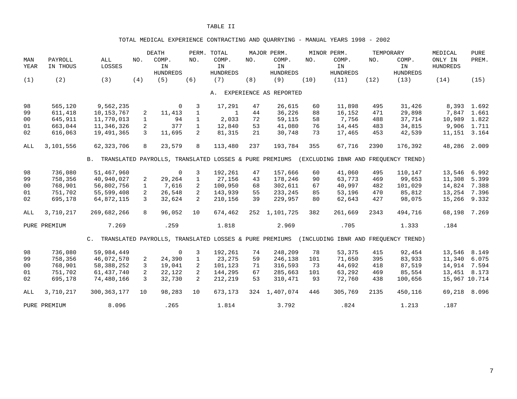## TOTAL MEDICAL EXPERIENCE CONTRACTING AND QUARRYING - MANUAL YEARS 1998 - 2002

| MAN<br><b>YEAR</b> | PAYROLL<br>IN THOUS | ALL<br>LOSSES                                             | NO.           | <b>DEATH</b><br>COMP.<br>IN<br><b>HUNDREDS</b> | NO.            | PERM. TOTAL<br>COMP.<br>IN<br><b>HUNDREDS</b> | NO. | MAJOR PERM.<br>COMP.<br>IN<br><b>HUNDREDS</b> | NO.  | MINOR PERM.<br>COMP.<br>IN<br><b>HUNDREDS</b> | NO.  | TEMPORARY<br>COMP.<br>IN<br><b>HUNDREDS</b> | MEDICAL<br>ONLY IN<br><b>HUNDREDS</b> | <b>PURE</b><br>PREM. |
|--------------------|---------------------|-----------------------------------------------------------|---------------|------------------------------------------------|----------------|-----------------------------------------------|-----|-----------------------------------------------|------|-----------------------------------------------|------|---------------------------------------------|---------------------------------------|----------------------|
| (1)                | (2)                 | (3)                                                       | (4)           | (5)                                            | (6)            | (7)                                           | (8) | (9)                                           | (10) | (11)                                          | (12) | (13)                                        | (14)                                  | (15)                 |
|                    |                     |                                                           |               |                                                |                | A.                                            |     | EXPERIENCE AS REPORTED                        |      |                                               |      |                                             |                                       |                      |
| 98                 | 565,120             | 9,562,235                                                 |               | $\overline{0}$                                 | 3              | 17,291                                        | 47  | 26,615                                        | 60   | 11,898                                        | 495  | 31,426                                      |                                       | 8,393 1.692          |
| 99                 | 611,418             | 10, 153, 767                                              | 2             | 11,413                                         | $\mathbf{1}$   | $\mathbf{1}$                                  | 44  | 36,226                                        | 88   | 16,152                                        | 471  | 29,898                                      | 7,847                                 | 1.661                |
| 0 <sub>0</sub>     | 645,911             | 11,770,013                                                | $\mathbf{1}$  | 94                                             | $\mathbf{1}$   | 2,033                                         | 72  | 59,115                                        | 58   | 7,756                                         | 488  | 37,714                                      | 10,989                                | 1.822                |
| 01                 | 663,044             | 11,346,326                                                | 2             | 377                                            | $\mathbf{1}$   | 12,840                                        | 53  | 41,080                                        | 76   | 14,445                                        | 483  | 34,815                                      |                                       | 9,906 1.711          |
| 02                 | 616,063             | 19,491,365                                                | 3             | 11,695                                         | $\overline{2}$ | 81,315                                        | 21  | 30,748                                        | 73   | 17,465                                        | 453  | 42,539                                      | 11,151                                | 3.164                |
| ALL                | 3,101,556           | 62, 323, 706                                              | 8             | 23,579                                         | 8              | 113,480                                       | 237 | 193,784                                       | 355  | 67,716                                        | 2390 | 176,392                                     | 48,286                                | 2.009                |
|                    |                     | B. TRANSLATED PAYROLLS, TRANSLATED LOSSES & PURE PREMIUMS |               |                                                |                |                                               |     |                                               |      | (EXCLUDING IBNR AND FREQUENCY TREND)          |      |                                             |                                       |                      |
|                    |                     |                                                           |               |                                                |                |                                               |     |                                               |      |                                               |      |                                             |                                       |                      |
| 98                 | 736,080             | 51,467,960                                                |               | $\Omega$                                       | 3              | 192,261                                       | 47  | 157,666                                       | 60   | 41,060                                        | 495  | 110,147                                     | 13,546                                | 6.992                |
| 99                 | 758,356             | 40,940,027                                                | 2             | 29,264                                         | $\mathbf{1}$   | 27,156                                        | 43  | 178,246                                       | 90   | 63,773                                        | 469  | 99,653                                      | 11,308                                | 5.399                |
| 0 <sub>0</sub>     | 768,901             | 56,802,756                                                | $\mathbf{1}$  | 7,616                                          | 2              | 100,950                                       | 68  | 302,611                                       | 67   | 40,997                                        | 482  | 101,029                                     | 14,824                                | 7.388                |
| 01                 | 751,702             | 55,599,408                                                | 2             | 26,548                                         | 2              | 143,939                                       | 55  | 233, 245                                      | 85   | 53,196                                        | 470  | 85,812                                      | 13,254                                | 7.396                |
| 02                 | 695,178             | 64,872,115                                                | $\mathcal{L}$ | 32,624                                         | 2              | 210,156                                       | 39  | 229,957                                       | 80   | 62,643                                        | 427  | 98,075                                      | 15,266                                | 9.332                |
| ALL                | 3,710,217           | 269,682,266                                               | 8             | 96,052                                         | 10             | 674,462                                       | 252 | 1,101,725                                     | 382  | 261,669                                       | 2343 | 494,716                                     | 68,198                                | 7.269                |
|                    | PURE PREMIUM        | 7.269                                                     |               | .259                                           |                | 1.818                                         |     | 2.969                                         |      | .705                                          |      | 1.333                                       | .184                                  |                      |
|                    |                     | C. TRANSLATED PAYROLLS, TRANSLATED LOSSES & PURE PREMIUMS |               |                                                |                |                                               |     |                                               |      | (INCLUDING IBNR AND FREOUENCY TREND)          |      |                                             |                                       |                      |
| 98                 | 736,080             | 59,984,449                                                |               | $\Omega$                                       | 3              | 192,261                                       | 74  | 248,209                                       | 78   | 53,375                                        | 415  | 92,454                                      | 13,546                                | 8.149                |
| 99                 | 758,356             | 46,072,570                                                | 2             | 24,390                                         | $\mathbf{1}$   | 23,275                                        | 59  | 246,138                                       | 101  | 71,650                                        | 395  | 83,933                                      | 11,340                                | 6.075                |
| 0 <sub>0</sub>     | 768,901             | 58, 388, 252                                              | 3             | 19,041                                         | $\overline{2}$ | 101,123                                       | 71  | 316,593                                       | 73   | 44,692                                        | 418  | 87,519                                      | 14,914                                | 7.594                |
| 01                 | 751,702             | 61,437,740                                                | 2             | 22,122                                         | $\overline{2}$ | 144,295                                       | 67  | 285,663                                       | 101  | 63,292                                        | 469  | 85,554                                      | 13,451 8.173                          |                      |
| 02                 | 695,178             | 74,480,166                                                | 3             | 32,730                                         | $\overline{2}$ | 212,219                                       | 53  | 310,471                                       | 93   | 72,760                                        | 438  | 100,656                                     | 15,967 10.714                         |                      |
| ALL                | 3,710,217           | 300, 363, 177                                             | 10            | 98,283                                         | 10             | 673,173                                       |     | 324 1,407,074                                 | 446  | 305,769                                       | 2135 | 450,116                                     | 69,218                                | 8.096                |
|                    | PURE PREMIUM        | 8.096                                                     |               | .265                                           |                | 1.814                                         |     | 3.792                                         |      | .824                                          |      | 1.213                                       | .187                                  |                      |